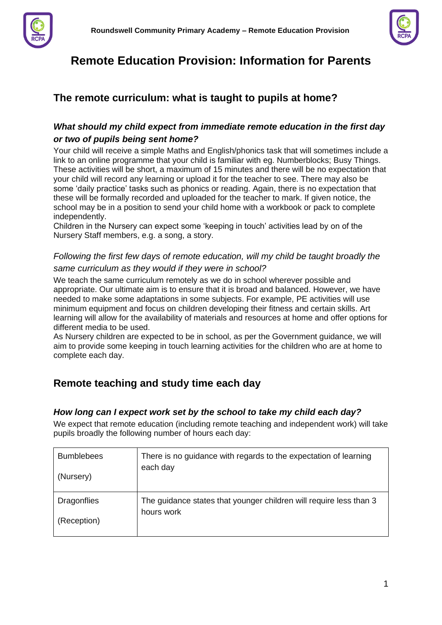



# **Remote Education Provision: Information for Parents**

## **The remote curriculum: what is taught to pupils at home?**

## *What should my child expect from immediate remote education in the first day or two of pupils being sent home?*

Your child will receive a simple Maths and English/phonics task that will sometimes include a link to an online programme that your child is familiar with eg. Numberblocks; Busy Things. These activities will be short, a maximum of 15 minutes and there will be no expectation that your child will record any learning or upload it for the teacher to see. There may also be some 'daily practice' tasks such as phonics or reading. Again, there is no expectation that these will be formally recorded and uploaded for the teacher to mark. If given notice, the school may be in a position to send your child home with a workbook or pack to complete independently.

Children in the Nursery can expect some 'keeping in touch' activities lead by on of the Nursery Staff members, e.g. a song, a story.

## *Following the first few days of remote education, will my child be taught broadly the same curriculum as they would if they were in school?*

We teach the same curriculum remotely as we do in school wherever possible and appropriate. Our ultimate aim is to ensure that it is broad and balanced. However, we have needed to make some adaptations in some subjects. For example, PE activities will use minimum equipment and focus on children developing their fitness and certain skills. Art learning will allow for the availability of materials and resources at home and offer options for different media to be used.

As Nursery children are expected to be in school, as per the Government guidance, we will aim to provide some keeping in touch learning activities for the children who are at home to complete each day.

## **Remote teaching and study time each day**

## *How long can I expect work set by the school to take my child each day?*

We expect that remote education (including remote teaching and independent work) will take pupils broadly the following number of hours each day:

| <b>Bumblebees</b>  | There is no guidance with regards to the expectation of learning   |
|--------------------|--------------------------------------------------------------------|
| (Nursery)          | each day                                                           |
| <b>Dragonflies</b> | The guidance states that younger children will require less than 3 |
| (Reception)        | hours work                                                         |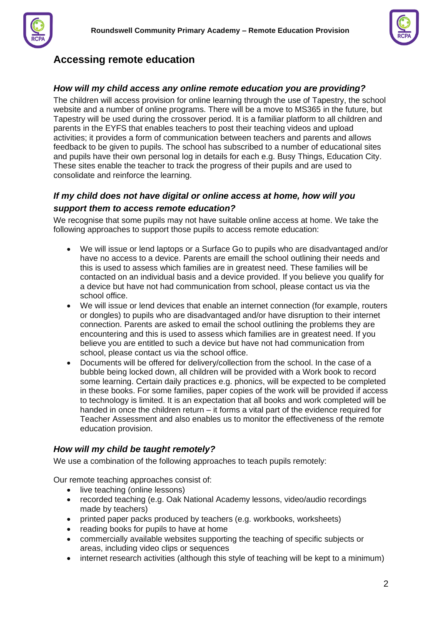

## **Accessing remote education**

### *How will my child access any online remote education you are providing?*

The children will access provision for online learning through the use of Tapestry, the school website and a number of online programs. There will be a move to MS365 in the future, but Tapestry will be used during the crossover period. It is a familiar platform to all children and parents in the EYFS that enables teachers to post their teaching videos and upload activities; it provides a form of communication between teachers and parents and allows feedback to be given to pupils. The school has subscribed to a number of educational sites and pupils have their own personal log in details for each e.g. Busy Things, Education City. These sites enable the teacher to track the progress of their pupils and are used to consolidate and reinforce the learning.

## *If my child does not have digital or online access at home, how will you support them to access remote education?*

We recognise that some pupils may not have suitable online access at home. We take the following approaches to support those pupils to access remote education:

- We will issue or lend laptops or a Surface Go to pupils who are disadvantaged and/or have no access to a device. Parents are emaill the school outlining their needs and this is used to assess which families are in greatest need. These families will be contacted on an individual basis and a device provided. If you believe you qualify for a device but have not had communication from school, please contact us via the school office.
- We will issue or lend devices that enable an internet connection (for example, routers or dongles) to pupils who are disadvantaged and/or have disruption to their internet connection. Parents are asked to email the school outlining the problems they are encountering and this is used to assess which families are in greatest need. If you believe you are entitled to such a device but have not had communication from school, please contact us via the school office.
- Documents will be offered for delivery/collection from the school. In the case of a bubble being locked down, all children will be provided with a Work book to record some learning. Certain daily practices e.g. phonics, will be expected to be completed in these books. For some families, paper copies of the work will be provided if access to technology is limited. It is an expectation that all books and work completed will be handed in once the children return – it forms a vital part of the evidence required for Teacher Assessment and also enables us to monitor the effectiveness of the remote education provision.

## *How will my child be taught remotely?*

We use a combination of the following approaches to teach pupils remotely:

Our remote teaching approaches consist of:

- live teaching (online lessons)
- recorded teaching (e.g. Oak National Academy lessons, video/audio recordings made by teachers)
- printed paper packs produced by teachers (e.g. workbooks, worksheets)
- reading books for pupils to have at home
- commercially available websites supporting the teaching of specific subjects or areas, including video clips or sequences
- internet research activities (although this style of teaching will be kept to a minimum)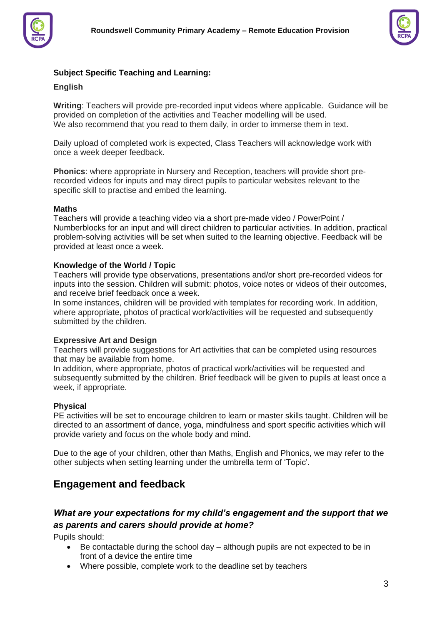



### **Subject Specific Teaching and Learning:**

#### **English**

**Writing**: Teachers will provide pre-recorded input videos where applicable. Guidance will be provided on completion of the activities and Teacher modelling will be used. We also recommend that you read to them daily, in order to immerse them in text.

Daily upload of completed work is expected, Class Teachers will acknowledge work with once a week deeper feedback.

**Phonics**: where appropriate in Nursery and Reception, teachers will provide short prerecorded videos for inputs and may direct pupils to particular websites relevant to the specific skill to practise and embed the learning.

#### **Maths**

Teachers will provide a teaching video via a short pre-made video / PowerPoint / Numberblocks for an input and will direct children to particular activities. In addition, practical problem-solving activities will be set when suited to the learning objective. Feedback will be provided at least once a week.

#### **Knowledge of the World / Topic**

Teachers will provide type observations, presentations and/or short pre-recorded videos for inputs into the session. Children will submit: photos, voice notes or videos of their outcomes, and receive brief feedback once a week.

In some instances, children will be provided with templates for recording work. In addition, where appropriate, photos of practical work/activities will be requested and subsequently submitted by the children.

#### **Expressive Art and Design**

Teachers will provide suggestions for Art activities that can be completed using resources that may be available from home.

In addition, where appropriate, photos of practical work/activities will be requested and subsequently submitted by the children. Brief feedback will be given to pupils at least once a week, if appropriate.

#### **Physical**

PE activities will be set to encourage children to learn or master skills taught. Children will be directed to an assortment of dance, yoga, mindfulness and sport specific activities which will provide variety and focus on the whole body and mind.

Due to the age of your children, other than Maths, English and Phonics, we may refer to the other subjects when setting learning under the umbrella term of 'Topic'.

## **Engagement and feedback**

## *What are your expectations for my child's engagement and the support that we as parents and carers should provide at home?*

Pupils should:

- Be contactable during the school day although pupils are not expected to be in front of a device the entire time
- Where possible, complete work to the deadline set by teachers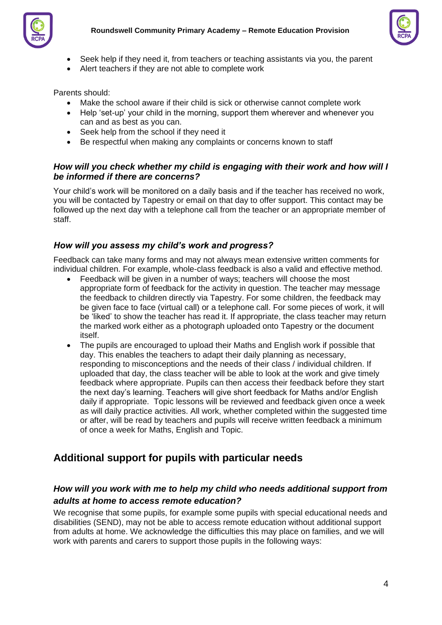



- Seek help if they need it, from teachers or teaching assistants via you, the parent
- Alert teachers if they are not able to complete work

Parents should:

- Make the school aware if their child is sick or otherwise cannot complete work
- Help 'set-up' your child in the morning, support them wherever and whenever you can and as best as you can.
- Seek help from the school if they need it
- Be respectful when making any complaints or concerns known to staff

### *How will you check whether my child is engaging with their work and how will I be informed if there are concerns?*

Your child's work will be monitored on a daily basis and if the teacher has received no work, you will be contacted by Tapestry or email on that day to offer support. This contact may be followed up the next day with a telephone call from the teacher or an appropriate member of staff.

## *How will you assess my child's work and progress?*

Feedback can take many forms and may not always mean extensive written comments for individual children. For example, whole-class feedback is also a valid and effective method.

- Feedback will be given in a number of ways; teachers will choose the most appropriate form of feedback for the activity in question. The teacher may message the feedback to children directly via Tapestry. For some children, the feedback may be given face to face (virtual call) or a telephone call. For some pieces of work, it will be 'liked' to show the teacher has read it. If appropriate, the class teacher may return the marked work either as a photograph uploaded onto Tapestry or the document itself.
- The pupils are encouraged to upload their Maths and English work if possible that day. This enables the teachers to adapt their daily planning as necessary, responding to misconceptions and the needs of their class / individual children. If uploaded that day, the class teacher will be able to look at the work and give timely feedback where appropriate. Pupils can then access their feedback before they start the next day's learning. Teachers will give short feedback for Maths and/or English daily if appropriate. Topic lessons will be reviewed and feedback given once a week as will daily practice activities. All work, whether completed within the suggested time or after, will be read by teachers and pupils will receive written feedback a minimum of once a week for Maths, English and Topic.

## **Additional support for pupils with particular needs**

## *How will you work with me to help my child who needs additional support from adults at home to access remote education?*

We recognise that some pupils, for example some pupils with special educational needs and disabilities (SEND), may not be able to access remote education without additional support from adults at home. We acknowledge the difficulties this may place on families, and we will work with parents and carers to support those pupils in the following ways: